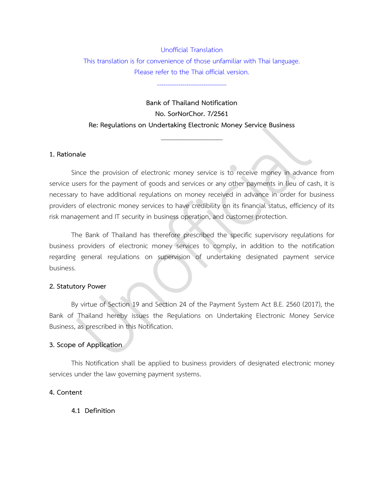## Unofficial Translation This translation is for convenience of those unfamiliar with Thai language. Please refer to the Thai official version.

---------------------------------

# **Bank of Thailand Notification No. SorNorChor. 7/2561 Re: Regulations on Undertaking Electronic Money Service Business**

\_\_\_\_\_\_\_\_\_\_\_\_\_\_\_\_\_\_

### **1. Rationale**

Since the provision of electronic money service is to receive money in advance from service users for the payment of goods and services or any other payments in lieu of cash, it is necessary to have additional regulations on money received in advance in order for business providers of electronic money services to have credibility on its financial status, efficiency of its risk management and IT security in business operation, and customer protection.

The Bank of Thailand has therefore prescribed the specific supervisory regulations for business providers of electronic money services to comply, in addition to the notification regarding general regulations on supervision of undertaking designated payment service business.

#### **2. Statutory Power**

By virtue of Section 19 and Section 24 of the Payment System Act B.E. 2560 (2017), the Bank of Thailand hereby issues the Regulations on Undertaking Electronic Money Service Business, as prescribed in this Notification.

## **3. Scope of Application**

This Notification shall be applied to business providers of designated electronic money services under the law governing payment systems.

#### **4. Content**

## **4.1 Definition**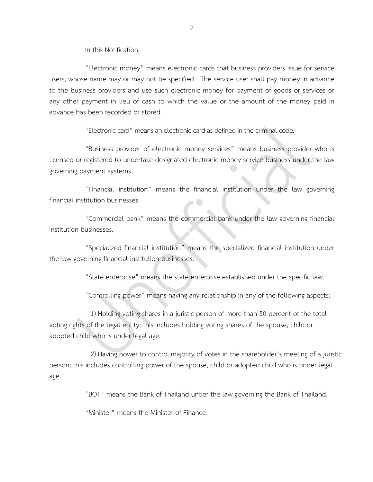In this Notification,

"Electronic money" means electronic cards that business providers issue for service users, whose name may or may not be specified. The service user shall pay money in advance to the business providers and use such electronic money for payment of goods or services or any other payment in lieu of cash to which the value or the amount of the money paid in advance has been recorded or stored.

"Electronic card" means an electronic card as defined in thecriminal code.

"Business provider of electronic money services" means business provider who is licensed or registered to undertake designated electronic money service business under the law governing payment systems.

"Financial institution" means the financial institution under the law governing financial institution businesses.

"Commercial bank" means the commercial bank under the law governing financial institution businesses.

"Specialized financial institution" means the specialized financial institution under the law governing financial institution businesses.

"State enterprise" means the state enterprise established under the specific law.

"Controlling power" means having any relationship in any of the following aspects:

1) Holding voting shares in a juristic person of more than 50 percent of the total voting rights of the legal entity; this includes holding voting shares of the spouse, child or adopted child who is under legal age.

2) Having power to control majority of votes in the shareholder's meeting of a juristic person; this includes controlling power of the spouse, child or adopted child who is under legal age.

"BOT" means the Bank of Thailand under the law governing the Bank of Thailand.

"Minister" means the Minister of Finance.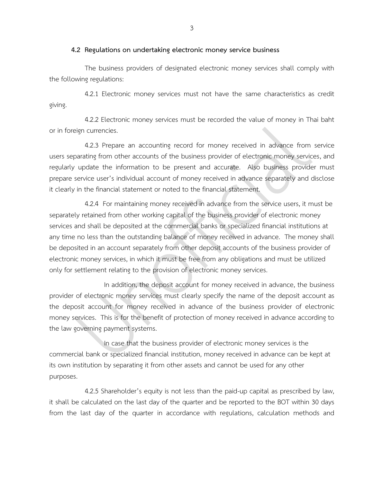#### **4.2 Regulations on undertaking electronic money service business**

The business providers of designated electronic money services shall comply with the following regulations:

4.2.1 Electronic money services must not have the same characteristics as credit giving.

4.2.2 Electronic money services must be recorded the value of money in Thai baht or in foreign currencies.

4.2.3 Prepare an accounting record for money received in advance from service users separating from other accounts of the business provider of electronic money services, and regularly update the information to be present and accurate. Also business provider must prepare service user's individual account of money received in advance separately and disclose it clearly in the financial statement or noted to the financial statement.

4.2.4 For maintaining money received in advance from the service users, it must be separately retained from other working capital of the business provider of electronic money services and shall be deposited at the commercial banks or specialized financial institutions at any time no less than the outstanding balance of money received in advance. The money shall be deposited in an account separately from other deposit accounts of the business provider of electronic money services, in which it must be free from any obligations and must be utilized only for settlement relating to the provision of electronic money services.

In addition, the deposit account for money received in advance, the business provider of electronic money services must clearly specify the name of the deposit account as the deposit account for money received in advance of the business provider of electronic money services. This is for the benefit of protection of money received in advance according to the law governing payment systems.

In case that the business provider of electronic money services is the commercial bank or specialized financial institution, money received in advance can be kept at its own institution by separating it from other assets and cannot be used for any other purposes.

4.2.5 Shareholder's equity is not less than the paid-up capital as prescribed by law, it shall be calculated on the last day of the quarter and be reported to the BOT within 30 days from the last day of the quarter in accordance with regulations, calculation methods and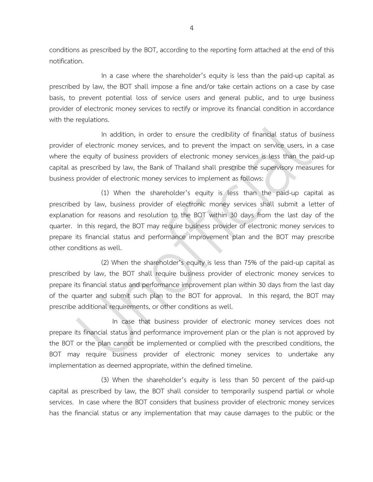conditions as prescribed by the BOT, according to the reporting form attached at the end of this notification.

In a case where the shareholder's equity is less than the paid-up capital as prescribed by law, the BOT shall impose a fine and/or take certain actions on a case by case basis, to prevent potential loss of service users and general public, and to urge business provider of electronic money services to rectify or improve its financial condition in accordance with the regulations.

In addition, in order to ensure the credibility of financial status of business provider of electronic money services, and to prevent the impact on service users, in a case where the equity of business providers of electronic money services is less than the paid-up capital as prescribed by law, the Bank of Thailand shall prescribe the supervisory measures for business provider of electronic money services to implement as follows:

(1) When the shareholder's equity is less than the paid-up capital as prescribed by law, business provider of electronic money services shall submit a letter of explanation for reasons and resolution to the BOT within 30 days from the last day of the quarter. In this regard, the BOT may require business provider of electronic money services to prepare its financial status and performance improvement plan and the BOT may prescribe other conditions as well.

(2) When the shareholder's equity is less than 75% of the paid-up capital as prescribed by law, the BOT shall require business provider of electronic money services to prepare its financial status and performance improvement plan within 30 days from the last day of the quarter and submit such plan to the BOT for approval. In this regard, the BOT may prescribe additional requirements, or other conditions as well.

In case that business provider of electronic money services does not prepare its financial status and performance improvement plan or the plan is not approved by the BOT or the plan cannot be implemented or complied with the prescribed conditions, the BOT may require business provider of electronic money services to undertake any implementation as deemed appropriate, within the defined timeline.

(3) When the shareholder's equity is less than 50 percent of the paid-up capital as prescribed by law, the BOT shall consider to temporarily suspend partial or whole services. In case where the BOT considers that business provider of electronic money services has the financial status or any implementation that may cause damages to the public or the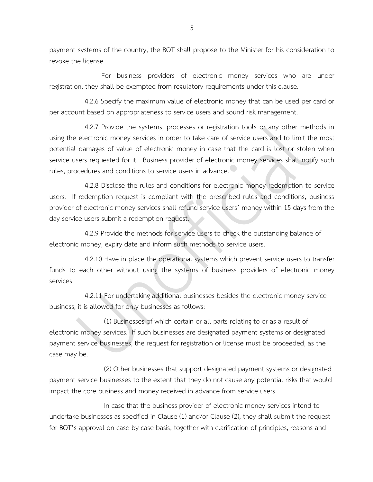payment systems of the country, the BOT shall propose to the Minister for his consideration to revoke the license.

For business providers of electronic money services who are under registration, they shall be exempted from regulatory requirements under this clause.

4.2.6 Specify the maximum value of electronic money that can be used per card or per account based on appropriateness to service users and sound risk management.

4.2.7 Provide the systems, processes or registration tools or any other methods in using the electronic money services in order to take care of service users and to limit the most potential damages of value of electronic money in case that the card is lost or stolen when service users requested for it. Business provider of electronic money services shall notify such rules, procedures and conditions to service users in advance.

4.2.8 Disclose the rules and conditions for electronic money redemption to service users. If redemption request is compliant with the prescribed rules and conditions, business provider of electronic money services shall refund service users' money within 15 days from the day service users submit a redemption request.

4.2.9 Provide the methods for service users to check the outstanding balance of electronic money, expiry date and inform such methods to service users.

4.2.10 Have in place the operational systems which prevent service users to transfer funds to each other without using the systems of business providers of electronic money services.

4.2.11 For undertaking additional businesses besides the electronic money service business, it is allowed for only businesses as follows:

(1) Businesses of which certain or all parts relating to or as a result of electronic money services. If such businesses are designated payment systems or designated payment service businesses, the request for registration or license must be proceeded, as the case may be.

(2) Other businesses that support designated payment systems or designated payment service businesses to the extent that they do not cause any potential risks that would impact the core business and money received in advance from service users.

In case that the business provider of electronic money services intend to undertake businesses as specified in Clause (1) and/or Clause (2), they shall submit the request for BOT's approval on case by case basis, together with clarification of principles, reasons and

5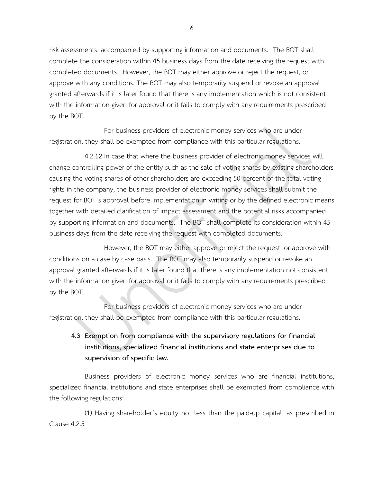risk assessments, accompanied by supporting information and documents. The BOT shall complete the consideration within 45 business days from the date receiving the request with completed documents. However, the BOT may either approve or reject the request, or approve with any conditions. The BOT may also temporarily suspend or revoke an approval granted afterwards if it is later found that there is any implementation which is not consistent with the information given for approval or it fails to comply with any requirements prescribed by the BOT.

For business providers of electronic money services who are under registration, they shall be exempted from compliance with this particular regulations.

4.2.12 In case that where the business provider of electronic money services will change controlling power of the entity such as the sale of voting shares by existing shareholders causing the voting shares of other shareholders are exceeding 50 percent of the total voting rights in the company, the business provider of electronic money services shall submit the request for BOT's approval before implementation in writing or by the defined electronic means together with detailed clarification of impact assessment and the potential risks accompanied by supporting information and documents. The BOT shall complete its consideration within 45 business days from the date receiving the request with completed documents.

However, the BOT may either approve or reject the request, or approve with conditions on a case by case basis. The BOT may also temporarily suspend or revoke an approval granted afterwards if it is later found that there is any implementation not consistent with the information given for approval or it fails to comply with any requirements prescribed by the BOT.

For business providers of electronic money services who are under registration, they shall be exempted from compliance with this particular regulations.

## **4.3 Exemption from compliance with the supervisory regulations for financial institutions, specialized financial institutions and state enterprises due to supervision of specific law.**

Business providers of electronic money services who are financial institutions, specialized financial institutions and state enterprises shall be exempted from compliance with the following regulations:

(1) Having shareholder's equity not less than the paid-up capital, as prescribed in Clause 4.2.5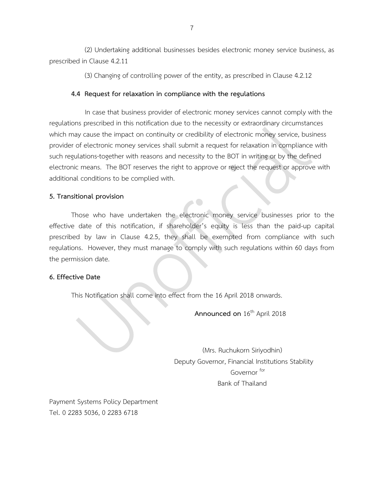(2) Undertaking additional businesses besides electronic money service business, as prescribed in Clause 4.2.11

(3) Changing of controlling power of the entity, as prescribed in Clause 4.2.12

### **4.4 Request for relaxation in compliance with the regulations**

In case that business provider of electronic money services cannot comply with the regulations prescribed in this notification due to the necessity or extraordinary circumstances which may cause the impact on continuity or credibility of electronic money service, business provider of electronic money services shall submit a request for relaxation in compliance with such regulations together with reasons and necessity to the BOT in writing or by the defined electronic means. The BOT reserves the right to approve or reject the request or approve with additional conditions to be complied with.

### **5. Transitional provision**

Those who have undertaken the electronic money service businesses prior to the effective date of this notification, if shareholder's equity is less than the paid-up capital prescribed by law in Clause 4.2.5, they shall be exempted from compliance with such regulations. However, they must manage to comply with such regulations within 60 days from the permission date.

#### **6. Effective Date**

This Notification shall come into effect from the 16 April 2018 onwards.

**Announced on**  $16^{th}$  April 2018

(Mrs. Ruchukorn Siriyodhin) Deputy Governor, Financial Institutions Stability Governor for Bank of Thailand

Payment Systems Policy Department Tel. 0 2283 5036, 0 2283 6718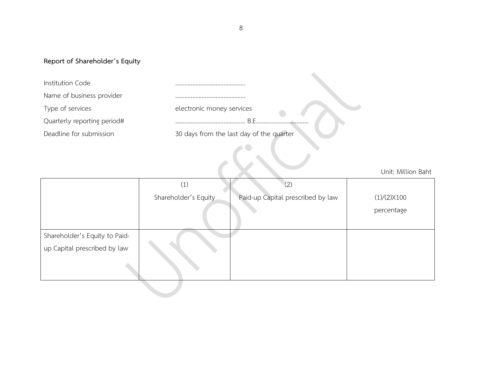## **Report of Shareholder's Equity**

| Institution Code            |                                          |
|-----------------------------|------------------------------------------|
| Name of business provider   |                                          |
| Type of services            | electronic money services                |
| Quarterly reporting period# | R F                                      |
| Deadline for submission     | 30 days from the last day of the quarter |
|                             |                                          |

Unit: Million Baht

|                               | (1)                  | (2)                               |                      |
|-------------------------------|----------------------|-----------------------------------|----------------------|
|                               | Shareholder's Equity | Paid-up Capital prescribed by law | $(1)/(2) \times 100$ |
|                               |                      |                                   | percentage           |
| Shareholder's Equity to Paid- |                      |                                   |                      |
| up Capital prescribed by law  |                      |                                   |                      |
|                               |                      |                                   |                      |